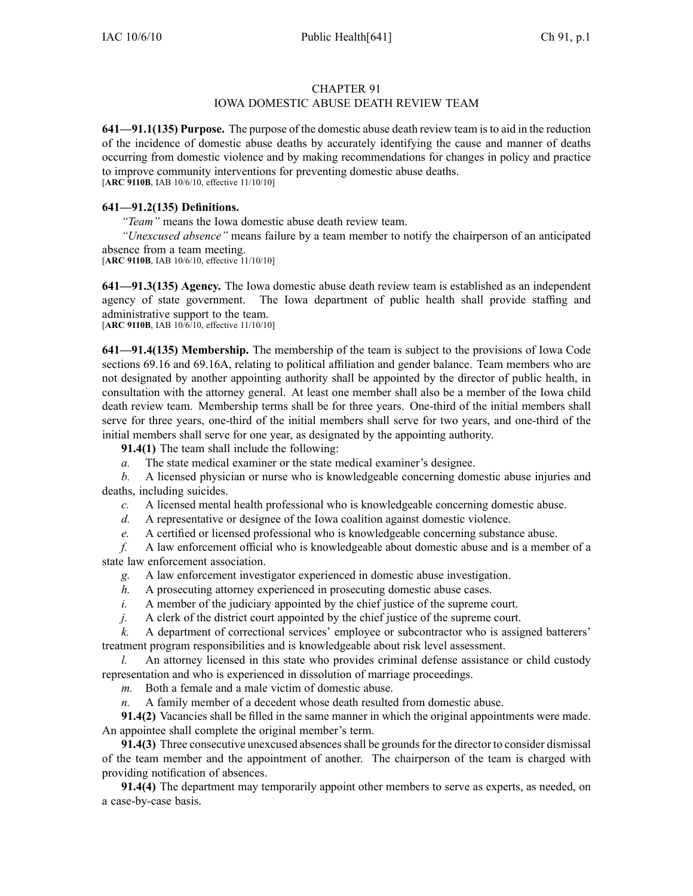### CHAPTER 91

# IOWA DOMESTIC ABUSE DEATH REVIEW TEAM

**641—91.1(135) Purpose.** The purpose of the domestic abuse death review team isto aid in the reduction of the incidence of domestic abuse deaths by accurately identifying the cause and manner of deaths occurring from domestic violence and by making recommendations for changes in policy and practice to improve community interventions for preventing domestic abuse deaths. [**ARC 9110B**, IAB 10/6/10, effective 11/10/10]

### **641—91.2(135) Definitions.**

*"Team"* means the Iowa domestic abuse death review team.

*"Unexcused absence"* means failure by <sup>a</sup> team member to notify the chairperson of an anticipated absence from <sup>a</sup> team meeting.

[**ARC 9110B**, IAB 10/6/10, effective 11/10/10]

**641—91.3(135) Agency.** The Iowa domestic abuse death review team is established as an independent agency of state government. The Iowa department of public health shall provide staffing and administrative suppor<sup>t</sup> to the team. [**ARC 9110B**, IAB 10/6/10, effective 11/10/10]

**641—91.4(135) Membership.** The membership of the team is subject to the provisions of Iowa Code sections 69.16 and 69.16A, relating to political affiliation and gender balance. Team members who are not designated by another appointing authority shall be appointed by the director of public health, in consultation with the attorney general. At least one member shall also be <sup>a</sup> member of the Iowa child death review team. Membership terms shall be for three years. One-third of the initial members shall serve for three years, one-third of the initial members shall serve for two years, and one-third of the initial members shall serve for one year, as designated by the appointing authority.

**91.4(1)** The team shall include the following:

*a.* The state medical examiner or the state medical examiner's designee.

*b.* A licensed physician or nurse who is knowledgeable concerning domestic abuse injuries and deaths, including suicides.

*c.* A licensed mental health professional who is knowledgeable concerning domestic abuse.

*d.* A representative or designee of the Iowa coalition against domestic violence.

*e.* A certified or licensed professional who is knowledgeable concerning substance abuse.

*f.* A law enforcement official who is knowledgeable about domestic abuse and is <sup>a</sup> member of <sup>a</sup> state law enforcement association.

*g.* A law enforcement investigator experienced in domestic abuse investigation.

*h.* A prosecuting attorney experienced in prosecuting domestic abuse cases.

*i.* A member of the judiciary appointed by the chief justice of the supreme court.

*j.* A clerk of the district court appointed by the chief justice of the supreme court.

*k.* A department of correctional services' employee or subcontractor who is assigned batterers' treatment program responsibilities and is knowledgeable about risk level assessment.

*l.* An attorney licensed in this state who provides criminal defense assistance or child custody representation and who is experienced in dissolution of marriage proceedings.

*m.* Both <sup>a</sup> female and <sup>a</sup> male victim of domestic abuse.

*n.* A family member of <sup>a</sup> decedent whose death resulted from domestic abuse.

**91.4(2)** Vacancies shall be filled in the same manner in which the original appointments were made. An appointee shall complete the original member's term.

**91.4(3)** Three consecutive unexcused absences shall be grounds for the director to consider dismissal of the team member and the appointment of another. The chairperson of the team is charged with providing notification of absences.

**91.4(4)** The department may temporarily appoint other members to serve as experts, as needed, on <sup>a</sup> case-by-case basis.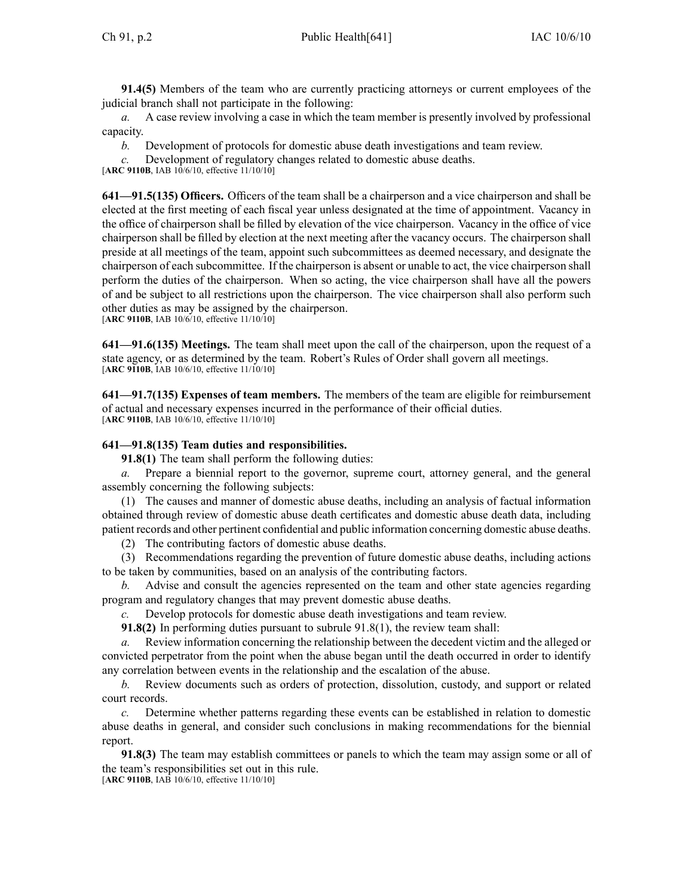**91.4(5)** Members of the team who are currently practicing attorneys or current employees of the judicial branch shall not participate in the following:

*a.* A case review involving <sup>a</sup> case in which the team member is presently involved by professional capacity.

*b.* Development of protocols for domestic abuse death investigations and team review.

*c.* Development of regulatory changes related to domestic abuse deaths.

[**ARC 9110B**, IAB 10/6/10, effective 11/10/10]

**641—91.5(135) Officers.** Officers of the team shall be <sup>a</sup> chairperson and <sup>a</sup> vice chairperson and shall be elected at the first meeting of each fiscal year unless designated at the time of appointment. Vacancy in the office of chairperson shall be filled by elevation of the vice chairperson. Vacancy in the office of vice chairperson shall be filled by election at the next meeting after the vacancy occurs. The chairperson shall preside at all meetings of the team, appoint such subcommittees as deemed necessary, and designate the chairperson of each subcommittee. If the chairperson is absent or unable to act, the vice chairperson shall perform the duties of the chairperson. When so acting, the vice chairperson shall have all the powers of and be subject to all restrictions upon the chairperson. The vice chairperson shall also perform such other duties as may be assigned by the chairperson.

[**ARC 9110B**, IAB 10/6/10, effective 11/10/10]

**641—91.6(135) Meetings.** The team shall meet upon the call of the chairperson, upon the reques<sup>t</sup> of <sup>a</sup> state agency, or as determined by the team. Robert's Rules of Order shall govern all meetings. [**ARC 9110B**, IAB 10/6/10, effective 11/10/10]

**641—91.7(135) Expenses of team members.** The members of the team are eligible for reimbursement of actual and necessary expenses incurred in the performance of their official duties. [**ARC 9110B**, IAB 10/6/10, effective 11/10/10]

# **641—91.8(135) Team duties and responsibilities.**

**91.8(1)** The team shall perform the following duties:

*a.* Prepare <sup>a</sup> biennial repor<sup>t</sup> to the governor, supreme court, attorney general, and the general assembly concerning the following subjects:

(1) The causes and manner of domestic abuse deaths, including an analysis of factual information obtained through review of domestic abuse death certificates and domestic abuse death data, including patient records and other pertinent confidential and public information concerning domestic abuse deaths.

(2) The contributing factors of domestic abuse deaths.

(3) Recommendations regarding the prevention of future domestic abuse deaths, including actions to be taken by communities, based on an analysis of the contributing factors.

*b.* Advise and consult the agencies represented on the team and other state agencies regarding program and regulatory changes that may preven<sup>t</sup> domestic abuse deaths.

*c.* Develop protocols for domestic abuse death investigations and team review.

**91.8(2)** In performing duties pursuan<sup>t</sup> to subrule 91.8(1), the review team shall:

Review information concerning the relationship between the decedent victim and the alleged or convicted perpetrator from the point when the abuse began until the death occurred in order to identify any correlation between events in the relationship and the escalation of the abuse.

*b.* Review documents such as orders of protection, dissolution, custody, and suppor<sup>t</sup> or related court records.

*c.* Determine whether patterns regarding these events can be established in relation to domestic abuse deaths in general, and consider such conclusions in making recommendations for the biennial report.

**91.8(3)** The team may establish committees or panels to which the team may assign some or all of the team's responsibilities set out in this rule.

[**ARC 9110B**, IAB 10/6/10, effective 11/10/10]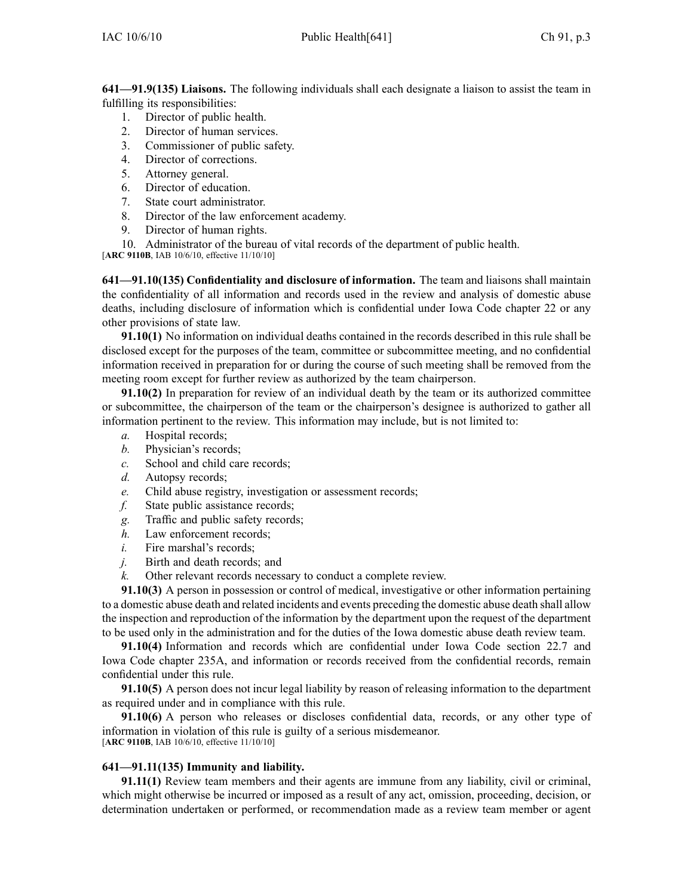**641—91.9(135) Liaisons.** The following individuals shall each designate <sup>a</sup> liaison to assist the team in fulfilling its responsibilities:

- 1. Director of public health.
- 2. Director of human services.
- 3. Commissioner of public safety.
- 4. Director of corrections.
- 5. Attorney general.
- 6. Director of education.
- 7. State court administrator.
- 8. Director of the law enforcement academy.
- 9. Director of human rights.
- 10. Administrator of the bureau of vital records of the department of public health.
- [**ARC 9110B**, IAB 10/6/10, effective 11/10/10]

**641—91.10(135) Confidentiality and disclosure of information.** The team and liaisons shall maintain the confidentiality of all information and records used in the review and analysis of domestic abuse deaths, including disclosure of information which is confidential under Iowa Code chapter 22 or any other provisions of state law.

**91.10(1)** No information on individual deaths contained in the records described in this rule shall be disclosed excep<sup>t</sup> for the purposes of the team, committee or subcommittee meeting, and no confidential information received in preparation for or during the course of such meeting shall be removed from the meeting room excep<sup>t</sup> for further review as authorized by the team chairperson.

**91.10(2)** In preparation for review of an individual death by the team or its authorized committee or subcommittee, the chairperson of the team or the chairperson's designee is authorized to gather all information pertinent to the review. This information may include, but is not limited to:

- *a.* Hospital records;
- *b.* Physician's records;
- *c.* School and child care records;
- *d.* Autopsy records;
- *e.* Child abuse registry, investigation or assessment records;
- *f.* State public assistance records;
- *g.* Traffic and public safety records;
- *h.* Law enforcement records;
- *i.* Fire marshal's records;
- *j.* Birth and death records; and
- *k.* Other relevant records necessary to conduct <sup>a</sup> complete review.

**91.10(3)** A person in possession or control of medical, investigative or other information pertaining to <sup>a</sup> domestic abuse death and related incidents and events preceding the domestic abuse death shall allow the inspection and reproduction of the information by the department upon the reques<sup>t</sup> of the department to be used only in the administration and for the duties of the Iowa domestic abuse death review team.

**91.10(4)** Information and records which are confidential under Iowa Code section 22.7 and Iowa Code chapter 235A, and information or records received from the confidential records, remain confidential under this rule.

**91.10(5)** A person does not incur legal liability by reason of releasing information to the department as required under and in compliance with this rule.

**91.10(6)** A person who releases or discloses confidential data, records, or any other type of information in violation of this rule is guilty of <sup>a</sup> serious misdemeanor. [**ARC 9110B**, IAB 10/6/10, effective 11/10/10]

#### **641—91.11(135) Immunity and liability.**

**91.11(1)** Review team members and their agents are immune from any liability, civil or criminal, which might otherwise be incurred or imposed as <sup>a</sup> result of any act, omission, proceeding, decision, or determination undertaken or performed, or recommendation made as <sup>a</sup> review team member or agen<sup>t</sup>